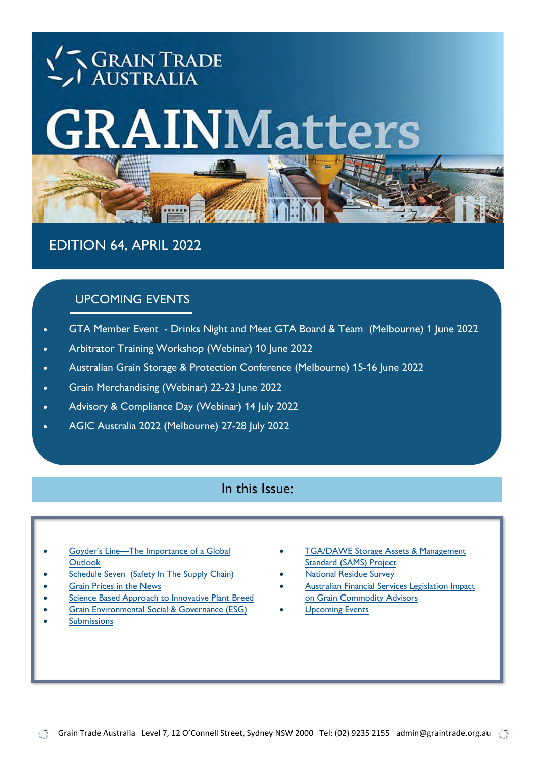# **GRAIN TRADE**<br>AUSTRALIA **INMatters**

EDITION 64, APRIL 2022

# UPCOMING EVENTS

- GTA Member Event [Drinks Night and Meet GTA Board & Team \(Melbourne\) 1 June 2022](#page-12-0)
- [Arbitrator Training Workshop \(Webinar\) 10 June 2022](#page-11-0)  **Arbitrator Members. The Contract Arbitrator** Contract Arbitrator Contract Arbitrator Contract Arbitrator Contract Arbitrator Contract Arbitrator Contract Arbitrator
- [Australian Grain Storage & Protection Conference \(Melbourne\) 15-16 June 2022](#page-9-0)
- Grain Merchandising (Webinar) 22-23 June 2022
- [Advisory & Compliance Day \(Webinar\) 14 July 2022](#page-11-0)
- [AGIC Australia 2022 \(Melbourne\) 27-28 July 2022](#page-10-0)

### In this Issue:

- Goyder's Line—The Importance of a Global **[Outlook](#page-1-0)**
- [Schedule Seven \(Safety In The Supply Chain\)](#page-2-0)
- [Grain Prices in the News](#page-3-0)
- [Science Based Approach to Innovative Plant Breed](#page-3-0)
- [Grain Environmental Social & Governance \(ESG\)](#page-4-0)
- **[Submissions](#page-5-0)**
- **TGA/DAWE Storage Assets & Management** [Standard \(SAMS\) Project](#page-6-0)
- [National Residue Survey](#page-7-0)
- [Australian Financial Services Legislation Impact](#page-8-0)  [on Grain Commodity Advisors](#page-8-0)
- **[Upcoming Events](#page-9-0)**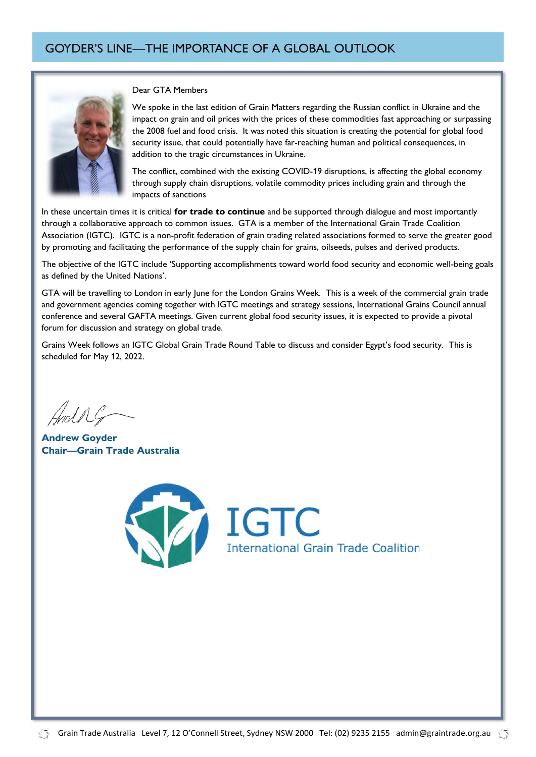<span id="page-1-0"></span>

#### Dear GTA Members

We spoke in the last edition of Grain Matters regarding the Russian conflict in Ukraine and the impact on grain and oil prices with the prices of these commodities fast approaching or surpassing the 2008 fuel and food crisis. It was noted this situation is creating the potential for global food security issue, that could potentially have far-reaching human and political consequences, in addition to the tragic circumstances in Ukraine.

The conflict, combined with the existing COVID-19 disruptions, is affecting the global economy through supply chain disruptions, volatile commodity prices including grain and through the impacts of sanctions

In these uncertain times it is critical **for trade to continue** and be supported through dialogue and most importantly through a collaborative approach to common issues. GTA is a member of the International Grain Trade Coalition Association (IGTC). IGTC is a non-profit federation of grain trading related associations formed to serve the greater good by promoting and facilitating the performance of the supply chain for grains, oilseeds, pulses and derived products.

The objective of the IGTC include 'Supporting accomplishments toward world food security and economic well-being goals as defined by the United Nations'.

GTA will be travelling to London in early June for the London Grains Week. This is a week of the commercial grain trade and government agencies coming together with IGTC meetings and strategy sessions, International Grains Council annual conference and several GAFTA meetings. Given current global food security issues, it is expected to provide a pivotal forum for discussion and strategy on global trade.

Grains Week follows an IGTC Global Grain Trade Round Table to discuss and consider Egypt's food security. This is scheduled for May 12, 2022.

Andre

**Andrew Goyder Chair—Grain Trade Australia** 

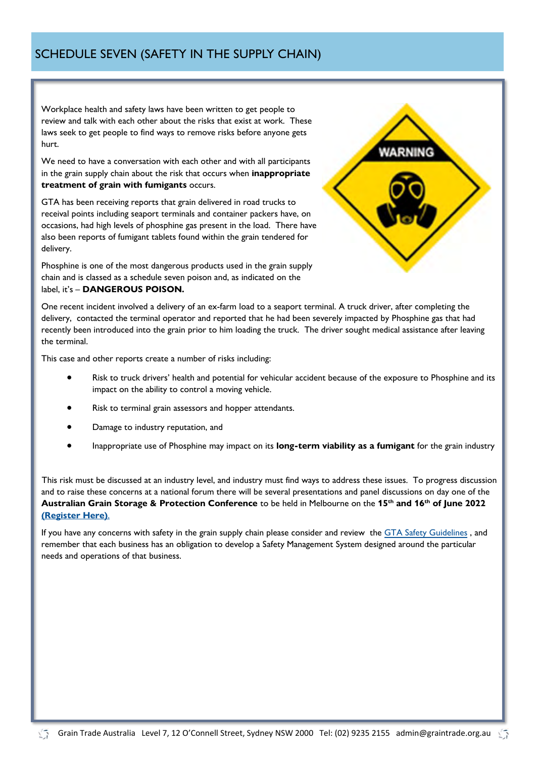<span id="page-2-0"></span>Workplace health and safety laws have been written to get people to review and talk with each other about the risks that exist at work. These laws seek to get people to find ways to remove risks before anyone gets hurt.

We need to have a conversation with each other and with all participants in the grain supply chain about the risk that occurs when **inappropriate treatment of grain with fumigants** occurs.

GTA has been receiving reports that grain delivered in road trucks to receival points including seaport terminals and container packers have, on occasions, had high levels of phosphine gas present in the load. There have also been reports of fumigant tablets found within the grain tendered for delivery.

Phosphine is one of the most dangerous products used in the grain supply chain and is classed as a schedule seven poison and, as indicated on the label, it's – **DANGEROUS POISON.**



One recent incident involved a delivery of an ex-farm load to a seaport terminal. A truck driver, after completing the delivery, contacted the terminal operator and reported that he had been severely impacted by Phosphine gas that had recently been introduced into the grain prior to him loading the truck. The driver sought medical assistance after leaving the terminal.

This case and other reports create a number of risks including:

- Risk to truck drivers' health and potential for vehicular accident because of the exposure to Phosphine and its impact on the ability to control a moving vehicle.
- Risk to terminal grain assessors and hopper attendants.
- Damage to industry reputation, and
- Inappropriate use of Phosphine may impact on its **long-term viability as a fumigant** for the grain industry

This risk must be discussed at an industry level, and industry must find ways to address these issues. To progress discussion and to raise these concerns at a national forum there will be several presentations and panel discussions on day one of the **Australian Grain Storage & Protection Conference** to be held in Melbourne on the **15th and 16th of June 2022 [\(Register Here\)](https://gta.eventsair.com/grain-storage-protection-conference-2022/grain-storage-protection-conference/Site/Register)**.

If you have any concerns with safety in the grain supply chain please consider and review the [GTA Safety Guidelines](https://www.graintrade.org.au/sites/default/files/Publications/GTA%20Safety%20Guidelines%20August%202019.pdf) , and remember that each business has an obligation to develop a Safety Management System designed around the particular needs and operations of that business.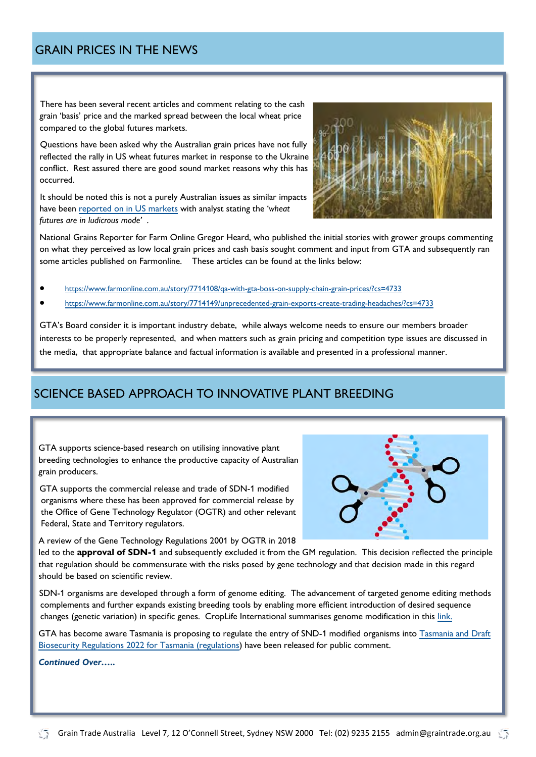<span id="page-3-0"></span>There has been several recent articles and comment relating to the cash grain 'basis' price and the marked spread between the local wheat price compared to the global futures markets.

Questions have been asked why the Australian grain prices have not fully reflected the rally in US wheat futures market in response to the Ukraine conflict. Rest assured there are good sound market reasons why this has occurred.

It should be noted this is not a purely Australian issues as similar impacts have been [reported on in US markets](https://farmpolicynews.illinois.edu/2022/03/wheat-crazed-cash-market-many-grain-elevators-stop-issuing-bids-as-futures-and-cash-prices-diverge/) with analyst stating the '*wheat futures are in ludicrous mode'* .



National Grains Reporter for Farm Online Gregor Heard, who published the initial stories with grower groups commenting on what they perceived as low local grain prices and cash basis sought comment and input from GTA and subsequently ran some articles published on Farmonline. These articles can be found at the links below:

• [https://www.farmonline.com.au/story/7714108/qa-with-gta-boss-on-supply-chain-grain-prices/?cs=4733](https://aus01.safelinks.protection.outlook.com/?url=https%3A%2F%2Fwww.farmonline.com.au%2Fstory%2F7714108%2Fqa-with-gta-boss-on-supply-chain-grain-prices%2F%3Fcs%3D4733&data=05%7C01%7Cjason.craig%40cbh.com.au%7Cfc24d8735d50420307cc08da2ca53d7a%7Cbdc5206836da4)

• [https://www.farmonline.com.au/story/7714149/unprecedented-grain-exports-create-trading-headaches/?cs=4733](https://aus01.safelinks.protection.outlook.com/?url=https%3A%2F%2Fwww.farmonline.com.au%2Fstory%2F7714149%2Funprecedented-grain-exports-create-trading-headaches%2F%3Fcs%3D4733&data=05%7C01%7Cjason.craig%40cbh.com.au%7Cfc24d8735d50420307cc08da2ca53d7a%7Cbdc520)

GTA's Board consider it is important industry debate, while always welcome needs to ensure our members broader interests to be properly represented, and when matters such as grain pricing and competition type issues are discussed in the media, that appropriate balance and factual information is available and presented in a professional manner.

## SCIENCE BASED APPROACH TO INNOVATIVE PLANT BREEDING

GTA supports science-based research on utilising innovative plant breeding technologies to enhance the productive capacity of Australian grain producers.

GTA supports the commercial release and trade of SDN-1 modified organisms where these has been approved for commercial release by the Office of Gene Technology Regulator (OGTR) and other relevant Federal, State and Territory regulators.

A review of the Gene Technology Regulations 2001 by OGTR in 2018

led to the **approval of SDN-1** and subsequently excluded it from the GM regulation. This decision reflected the principle that regulation should be commensurate with the risks posed by gene technology and that decision made in this regard should be based on scientific review.

SDN-1 organisms are developed through a form of genome editing. The advancement of targeted genome editing methods complements and further expands existing breeding tools by enabling more efficient introduction of desired sequence changes (genetic variation) in specific genes. CropLife International summarises genome modification in this [link.](https://croplife.org/wp-content/uploads/2015/01/CLI-SDN-Definitions-Position-Paper.pdf)

GTA has become aware Tasmania is proposing to regulate the entry of SND-1 modified organisms into Tasmania and Draft [Biosecurity Regulations 2022 for Tasmania \(regulations\)](https://nre.tas.gov.au/Documents/DRAFT%20Biosecurity%20Regulations%202022.pdf) have been released for public comment.

*Continued Over…..*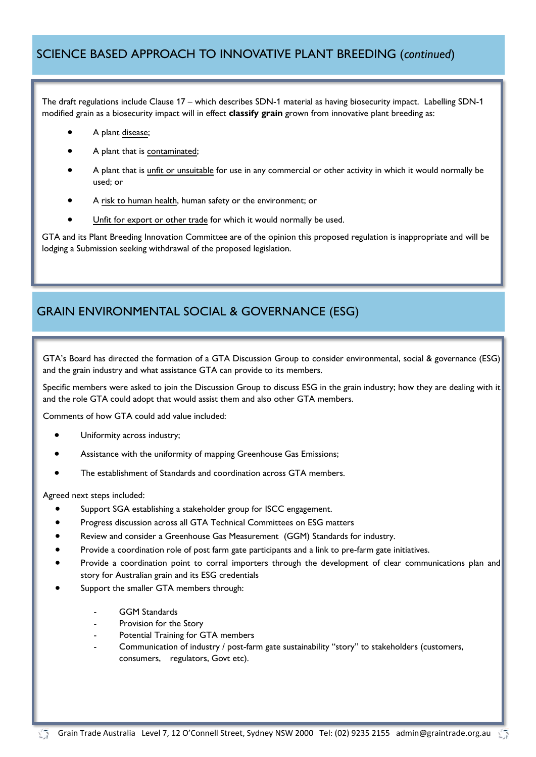#### <span id="page-4-0"></span>SCIENCE BASED APPROACH TO INNOVATIVE PLANT BREEDING (*continued*)

The draft regulations include Clause 17 – which describes SDN-1 material as having biosecurity impact. Labelling SDN-1 modified grain as a biosecurity impact will in effect **classify grain** grown from innovative plant breeding as:

- A plant disease;
- A plant that is contaminated;
- A plant that is unfit or unsuitable for use in any commercial or other activity in which it would normally be used; or
- A risk to human health, human safety or the environment; or
- Unfit for export or other trade for which it would normally be used.

GTA and its Plant Breeding Innovation Committee are of the opinion this proposed regulation is inappropriate and will be lodging a Submission seeking withdrawal of the proposed legislation.

## GRAIN ENVIRONMENTAL SOCIAL & GOVERNANCE (ESG)

GTA's Board has directed the formation of a GTA Discussion Group to consider environmental, social & governance (ESG) and the grain industry and what assistance GTA can provide to its members.

Specific members were asked to join the Discussion Group to discuss ESG in the grain industry; how they are dealing with it and the role GTA could adopt that would assist them and also other GTA members.

Comments of how GTA could add value included:

- Uniformity across industry;
- Assistance with the uniformity of mapping Greenhouse Gas Emissions;
- The establishment of Standards and coordination across GTA members.

Agreed next steps included:

- Support SGA establishing a stakeholder group for ISCC engagement.
- Progress discussion across all GTA Technical Committees on ESG matters
- Review and consider a Greenhouse Gas Measurement (GGM) Standards for industry.
- Provide a coordination role of post farm gate participants and a link to pre-farm gate initiatives.
- Provide a coordination point to corral importers through the development of clear communications plan and story for Australian grain and its ESG credentials
- Support the smaller GTA members through:
	- GGM Standards
	- Provision for the Story
	- Potential Training for GTA members
	- Communication of industry / post-farm gate sustainability "story" to stakeholders (customers, consumers, regulators, Govt etc).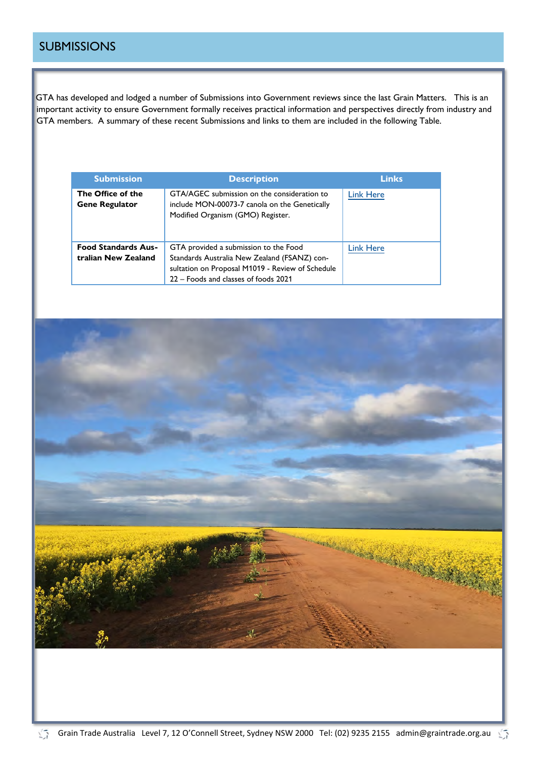#### <span id="page-5-0"></span>**SUBMISSIONS**

V5

GTA has developed and lodged a number of Submissions into Government reviews since the last Grain Matters. This is an important activity to ensure Government formally receives practical information and perspectives directly from industry and GTA members. A summary of these recent Submissions and links to them are included in the following Table.

| <b>Submission</b>                                 | <b>Description</b>                                                                                                                                                                | <b>Links</b>     |
|---------------------------------------------------|-----------------------------------------------------------------------------------------------------------------------------------------------------------------------------------|------------------|
| The Office of the<br><b>Gene Regulator</b>        | GTA/AGEC submission on the consideration to<br>include MON-00073-7 canola on the Genetically<br>Modified Organism (GMO) Register.                                                 | <b>Link Here</b> |
| <b>Food Standards Aus-</b><br>tralian New Zealand | GTA provided a submission to the Food<br>Standards Australia New Zealand (FSANZ) con-<br>sultation on Proposal M1019 - Review of Schedule<br>22 – Foods and classes of foods 2021 | <b>Link Here</b> |

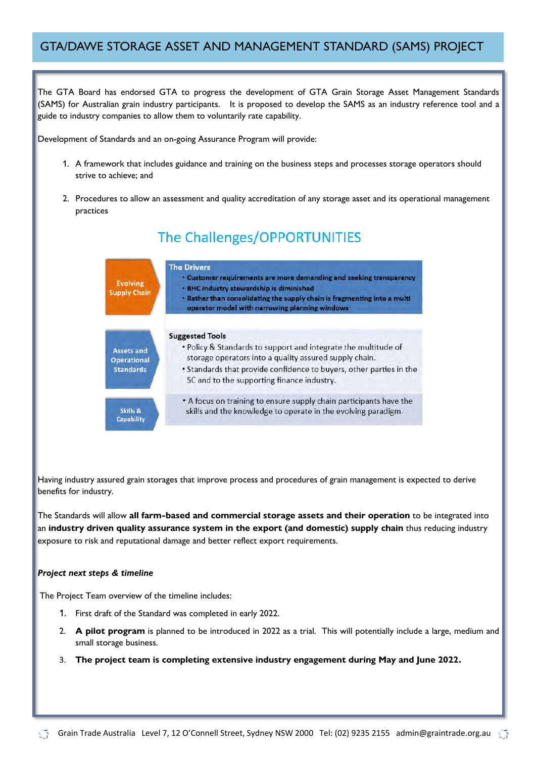#### <span id="page-6-0"></span>GTA/DAWE STORAGE ASSET AND MANAGEMENT STANDARD (SAMS) PROJECT

The GTA Board has endorsed GTA to progress the development of GTA Grain Storage Asset Management Standards (SAMS) for Australian grain industry participants. It is proposed to develop the SAMS as an industry reference tool and a guide to industry companies to allow them to voluntarily rate capability.

Development of Standards and an on-going Assurance Program will provide:

- 1. A framework that includes guidance and training on the business steps and processes storage operators should strive to achieve; and
- 2. Procedures to allow an assessment and quality accreditation of any storage asset and its operational management practices



Having industry assured grain storages that improve process and procedures of grain management is expected to derive benefits for industry.

The Standards will allow **all farm-based and commercial storage assets and their operation** to be integrated into an **industry driven quality assurance system in the export (and domestic) supply chain** thus reducing industry exposure to risk and reputational damage and better reflect export requirements.

#### *Project next steps & timeline*

The Project Team overview of the timeline includes:

- 1. First draft of the Standard was completed in early 2022.
- 2. **A pilot program** is planned to be introduced in 2022 as a trial. This will potentially include a large, medium and small storage business.
- 3. **The project team is completing extensive industry engagement during May and June 2022.**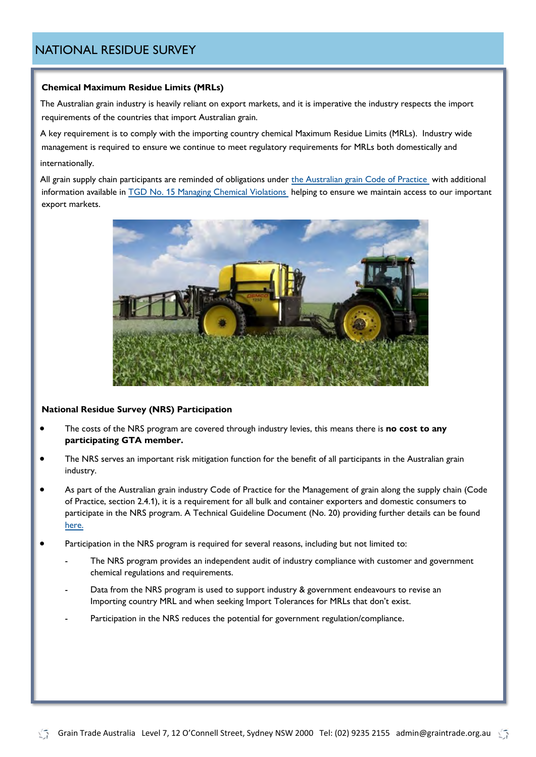#### <span id="page-7-0"></span>NATIONAL RESIDUE SURVEY

#### **Chemical Maximum Residue Limits (MRLs)**

The Australian grain industry is heavily reliant on export markets, and it is imperative the industry respects the import requirements of the countries that import Australian grain.

A key requirement is to comply with the importing country chemical Maximum Residue Limits (MRLs). Industry wide management is required to ensure we continue to meet regulatory requirements for MRLs both domestically and internationally.

All grain supply chain participants are reminded of obligations under [the Australian grain Code of Practice](https://www.graintrade.org.au/grain-industry-codes) with additional information available in [TGD No. 15 Managing Chemical Violations h](https://www.graintrade.org.au/sites/default/files/file/Codes/Grain%20Industry%20Code%20of%20Practice/Technical%20Guidance%20Documents/TGD%20No_15%20-%20Managing%20Chemical%20Violations_May2018%20(1).pdf)elping to ensure we maintain access to our important export markets.



#### **National Residue Survey (NRS) Participation**

- The costs of the NRS program are covered through industry levies, this means there is **no cost to any participating GTA member.**
- The NRS serves an important risk mitigation function for the benefit of all participants in the Australian grain industry.
- As part of the Australian grain industry Code of Practice for the Management of grain along the supply chain (Code of Practice, section 2.4.1), it is a requirement for all bulk and container exporters and domestic consumers to participate in the NRS program. A Technical Guideline Document (No. 20) providing further details can be found [here.](https://www.graintrade.org.au/sites/default/files/TGD%20No_20%20-%20National%20Residue%20Survey%20Participation%20Jun21.pdf)
- Participation in the NRS program is required for several reasons, including but not limited to:
	- The NRS program provides an independent audit of industry compliance with customer and government chemical regulations and requirements.
	- Data from the NRS program is used to support industry & government endeavours to revise an Importing country MRL and when seeking Import Tolerances for MRLs that don't exist.
	- Participation in the NRS reduces the potential for government regulation/compliance.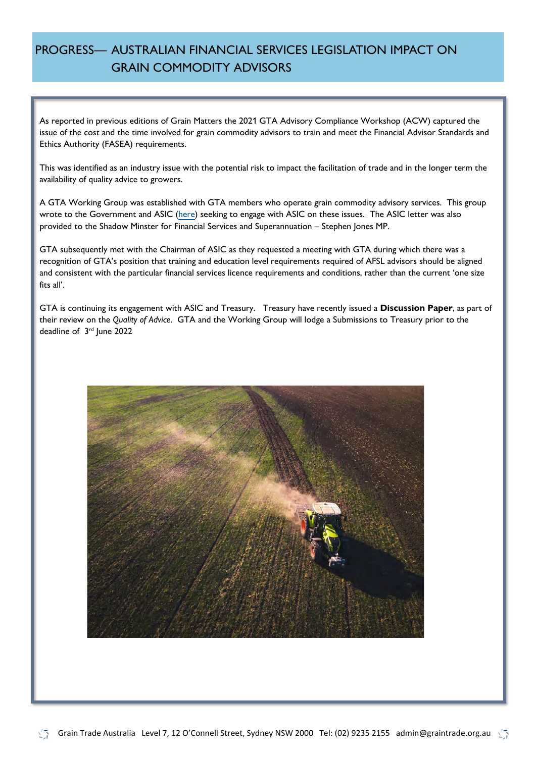## <span id="page-8-0"></span>PROGRESS— AUSTRALIAN FINANCIAL SERVICES LEGISLATION IMPACT ON GRAIN COMMODITY ADVISORS

As reported in previous editions of Grain Matters the 2021 GTA Advisory Compliance Workshop (ACW) captured the issue of the cost and the time involved for grain commodity advisors to train and meet the Financial Advisor Standards and Ethics Authority (FASEA) requirements.

This was identified as an industry issue with the potential risk to impact the facilitation of trade and in the longer term the availability of quality advice to growers.

A GTA Working Group was established with GTA members who operate grain commodity advisory services. This group wrote to the Government and ASIC [\(here\)](https://www.graintrade.org.au/sites/default/files/GTA_Submissions/Letter_GTA%20to%20ASIC_AFSL_15Nov2021_Final.pdf) seeking to engage with ASIC on these issues. The ASIC letter was also provided to the Shadow Minster for Financial Services and Superannuation – Stephen Jones MP.

GTA subsequently met with the Chairman of ASIC as they requested a meeting with GTA during which there was a recognition of GTA's position that training and education level requirements required of AFSL advisors should be aligned and consistent with the particular financial services licence requirements and conditions, rather than the current 'one size fits all'.

GTA is continuing its engagement with ASIC and Treasury. Treasury have recently issued a **Discussion Paper**, as part of their review on the *Quality of Advice*. GTA and the Working Group will lodge a Submissions to Treasury prior to the deadline of 3<sup>rd</sup> June 2022

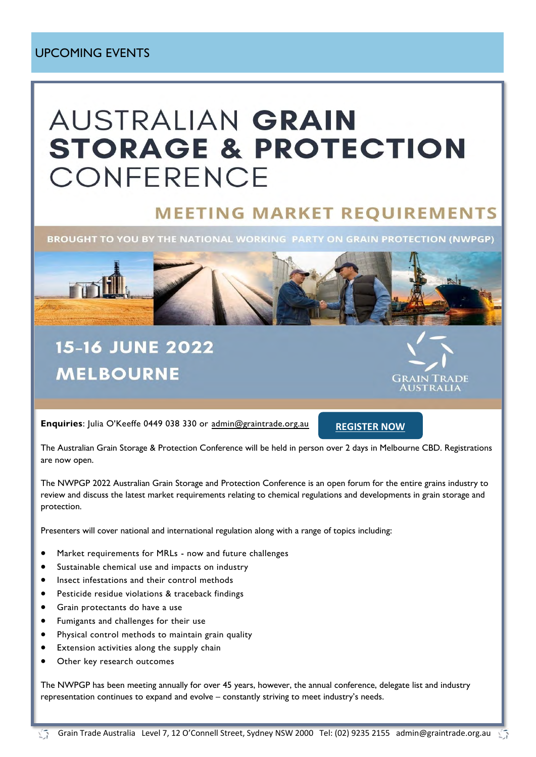#### <span id="page-9-0"></span>UPCOMING EVENTS

# **AUSTRALIAN GRAIN STORAGE & PROTECTION** CONFERENCE

# **MEETING MARKET REOUIREMENTS**

BROUGHT TO YOU BY THE NATIONAL WORKING PARTY ON GRAIN PROTECTION (NWPGP)



# **15-16 JUNE 2022 MELBOURNE**



**Enquiries**: Julia O'Keeffe 0449 038 330 or [admin@graintrade.org.au](mailto:admin@graintrade.org.au)

**[REGISTER NOW](https://gta.eventsair.com/gta-workshops/sem1-2021/Site/Register)**

The Australian Grain Storage & Protection Conference will be held in person over 2 days in Melbourne CBD. Registrations are now open.

The NWPGP 2022 Australian Grain Storage and Protection Conference is an open forum for the entire grains industry to review and discuss the latest market requirements relating to chemical regulations and developments in grain storage and protection.

Presenters will cover national and international regulation along with a range of topics including:

- Market requirements for MRLs now and future challenges
- Sustainable chemical use and impacts on industry
- Insect infestations and their control methods
- Pesticide residue violations & traceback findings
- Grain protectants do have a use
- Fumigants and challenges for their use
- Physical control methods to maintain grain quality
- Extension activities along the supply chain
- Other key research outcomes

The NWPGP has been meeting annually for over 45 years, however, the annual conference, delegate list and industry representation continues to expand and evolve – constantly striving to meet industry's needs.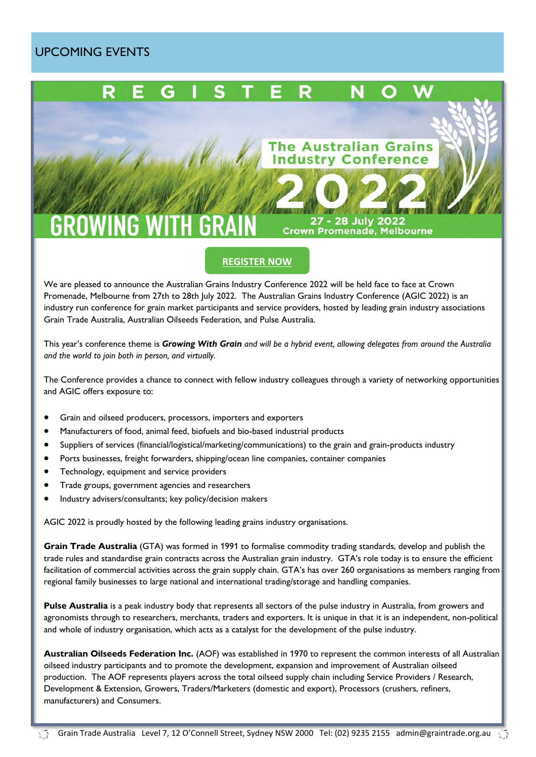## <span id="page-10-0"></span>UPCOMING EVENTS



We are pleased to announce the Australian Grains Industry Conference 2022 will be held face to face at Crown Promenade, Melbourne from 27th to 28th July 2022. The Australian Grains Industry Conference (AGIC 2022) is an industry run conference for grain market participants and service providers, hosted by leading grain industry associations Grain Trade Australia, Australian Oilseeds Federation, and Pulse Australia.

This year's conference theme is *Growing With Grain and will be a hybrid event, allowing delegates from around the Australia and the world to join both in person, and virtually.*

The Conference provides a chance to connect with fellow industry colleagues through a variety of networking opportunities and AGIC offers exposure to:

- Grain and oilseed producers, processors, importers and exporters
- Manufacturers of food, animal feed, biofuels and bio-based industrial products
- Suppliers of services (financial/logistical/marketing/communications) to the grain and grain-products industry
- Ports businesses, freight forwarders, shipping/ocean line companies, container companies
- Technology, equipment and service providers
- Trade groups, government agencies and researchers
- Industry advisers/consultants; key policy/decision makers

AGIC 2022 is proudly hosted by the following leading grains industry organisations.

**Grain Trade Australia** (GTA) was formed in 1991 to formalise commodity trading standards, develop and publish the trade rules and standardise grain contracts across the Australian grain industry. GTA's role today is to ensure the efficient facilitation of commercial activities across the grain supply chain. GTA's has over 260 organisations as members ranging from regional family businesses to large national and international trading/storage and handling companies.

**Pulse Australia** is a peak industry body that represents all sectors of the pulse industry in Australia, from growers and agronomists through to researchers, merchants, traders and exporters. It is unique in that it is an independent, non-political and whole of industry organisation, which acts as a catalyst for the development of the pulse industry.

**Australian Oilseeds Federation Inc.** (AOF) was established in 1970 to represent the common interests of all Australian oilseed industry participants and to promote the development, expansion and improvement of Australian oilseed production. The AOF represents players across the total oilseed supply chain including Service Providers / Research, Development & Extension, Growers, Traders/Marketers (domestic and export), Processors (crushers, refiners, manufacturers) and Consumers.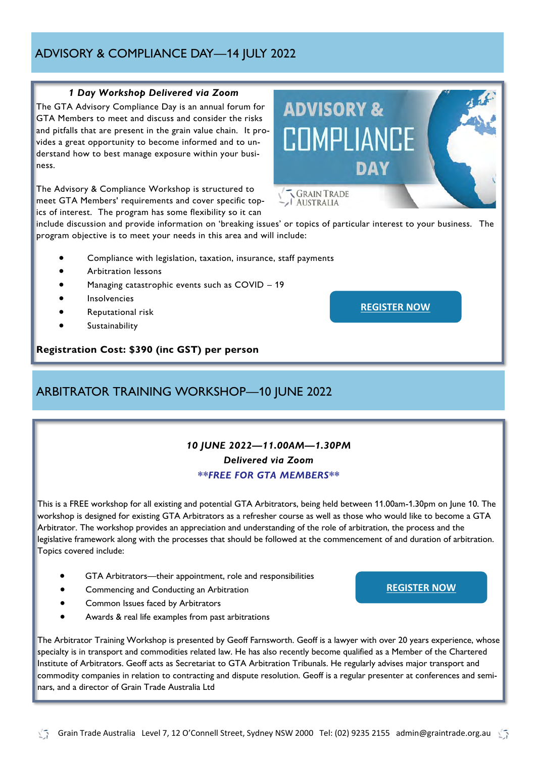# nars, and a director of Grain Trade Australia Ltd

## <span id="page-11-0"></span>ADVISORY & COMPLIANCE DAY—14 JULY 2022

#### *1 Day Workshop Delivered via Zoom*

The GTA Advisory Compliance Day is an annual forum for GTA Members to meet and discuss and consider the risks and pitfalls that are present in the grain value chain. It provides a great opportunity to become informed and to understand how to best manage exposure within your business.

The Advisory & Compliance Workshop is structured to meet GTA Members' requirements and cover specific topics of interest. The program has some flexibility so it can

include discussion and provide information on 'breaking issues' or topics of particular interest to your business. The program objective is to meet your needs in this area and will include:

- Compliance with legislation, taxation, insurance, staff payments
- Arbitration lessons
- Managing catastrophic events such as COVID 19
- **Insolvencies**
- Reputational risk
- **Sustainability**

#### **Registration Cost: \$390 (inc GST) per person**

## ARBITRATOR TRAINING WORKSHOP—10 JUNE 2022

#### *10 JUNE 2022—11.00AM—1.30PM Delivered via Zoom \*\*FREE FOR GTA MEMBERS\*\**

This is a FREE workshop for all existing and potential GTA Arbitrators, being held between 11.00am-1.30pm on June 10. The workshop is designed for existing GTA Arbitrators as a refresher course as well as those who would like to become a GTA Arbitrator. The workshop provides an appreciation and understanding of the role of arbitration, the process and the legislative framework along with the processes that should be followed at the commencement of and duration of arbitration. Topics covered include:

- GTA Arbitrators—their appointment, role and responsibilities
- Commencing and Conducting an Arbitration
- Common Issues faced by Arbitrators
- Awards & real life examples from past arbitrations

The Arbitrator Training Workshop is presented by Geoff Farnsworth. Geoff is a lawyer with over 20 years experience, whose specialty is in transport and commodities related law. He has also recently become qualified as a Member of the Chartered Institute of Arbitrators. Geoff acts as Secretariat to GTA Arbitration Tribunals. He regularly advises major transport and commodity companies in relation to contracting and dispute resolution. Geoff is a regular presenter at conferences and semi-





**[REGISTER NOW](https://gta.eventsair.com/gta-workshops/sem1-2021/Site/Register)**